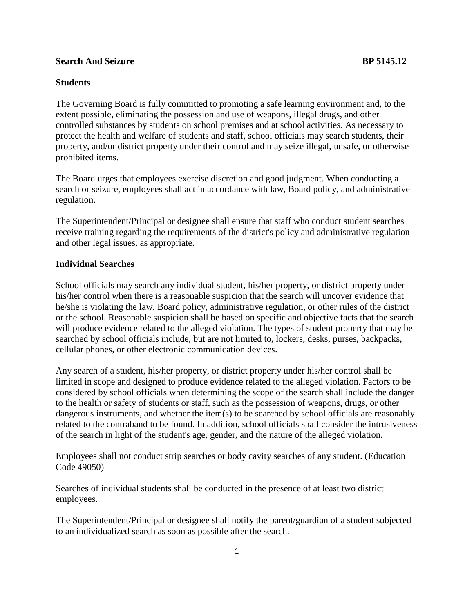## **Search And Seizure BP 5145.12**

## **Students**

The Governing Board is fully committed to promoting a safe learning environment and, to the extent possible, eliminating the possession and use of weapons, illegal drugs, and other controlled substances by students on school premises and at school activities. As necessary to protect the health and welfare of students and staff, school officials may search students, their property, and/or district property under their control and may seize illegal, unsafe, or otherwise prohibited items.

The Board urges that employees exercise discretion and good judgment. When conducting a search or seizure, employees shall act in accordance with law, Board policy, and administrative regulation.

The Superintendent/Principal or designee shall ensure that staff who conduct student searches receive training regarding the requirements of the district's policy and administrative regulation and other legal issues, as appropriate.

## **Individual Searches**

School officials may search any individual student, his/her property, or district property under his/her control when there is a reasonable suspicion that the search will uncover evidence that he/she is violating the law, Board policy, administrative regulation, or other rules of the district or the school. Reasonable suspicion shall be based on specific and objective facts that the search will produce evidence related to the alleged violation. The types of student property that may be searched by school officials include, but are not limited to, lockers, desks, purses, backpacks, cellular phones, or other electronic communication devices.

Any search of a student, his/her property, or district property under his/her control shall be limited in scope and designed to produce evidence related to the alleged violation. Factors to be considered by school officials when determining the scope of the search shall include the danger to the health or safety of students or staff, such as the possession of weapons, drugs, or other dangerous instruments, and whether the item(s) to be searched by school officials are reasonably related to the contraband to be found. In addition, school officials shall consider the intrusiveness of the search in light of the student's age, gender, and the nature of the alleged violation.

Employees shall not conduct strip searches or body cavity searches of any student. (Education Code 49050)

Searches of individual students shall be conducted in the presence of at least two district employees.

The Superintendent/Principal or designee shall notify the parent/guardian of a student subjected to an individualized search as soon as possible after the search.